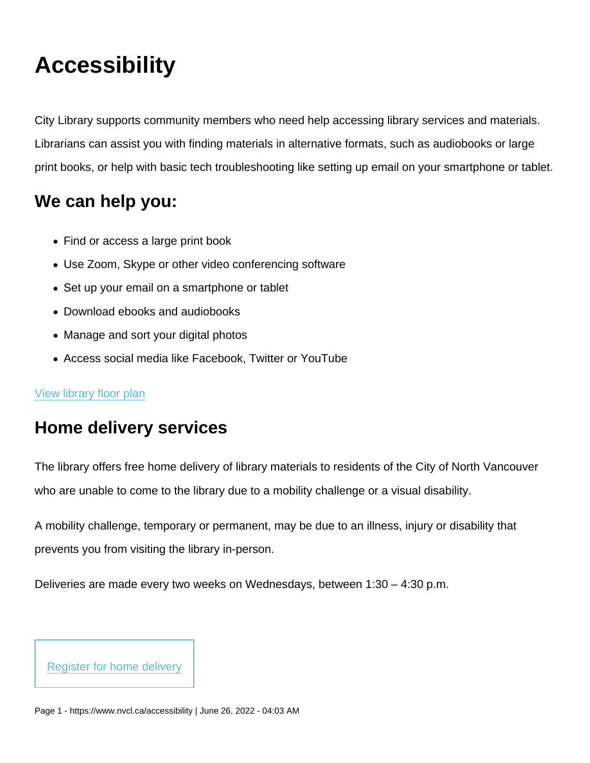# **Accessibility**

City Library supports community members who need help accessing library services and materials. Librarians can assist you with finding materials in alternative formats, such as audiobooks or large print books, or help with basic tech troubleshooting like setting up email on your smartphone or tablet.

# We can help you:

- Find or access a large print book
- Use Zoom, Skype or other video conferencing software
- Set up your email on a smartphone or tablet
- Download ebooks and audiobooks
- Manage and sort your digital photos
- Access social media like Facebook, Twitter or YouTube

#### [View library floor plan](https://www.nvcl.ca/sites/default/files/2022-05/NorthVancouverCityLibrary-Floorplan.pdf)

### Home delivery services

The library offers free home delivery of library materials to residents of the City of North Vancouver who are unable to come to the library due to a mobility challenge or a visual disability.

A mobility challenge, temporary or permanent, may be due to an illness, injury or disability that prevents you from visiting the library in-person.

Deliveries are made every two weeks on Wednesdays, between 1:30 – 4:30 p.m.

[Register for home delivery](mailto:info@nvcl.ca?subject=Home delivery request)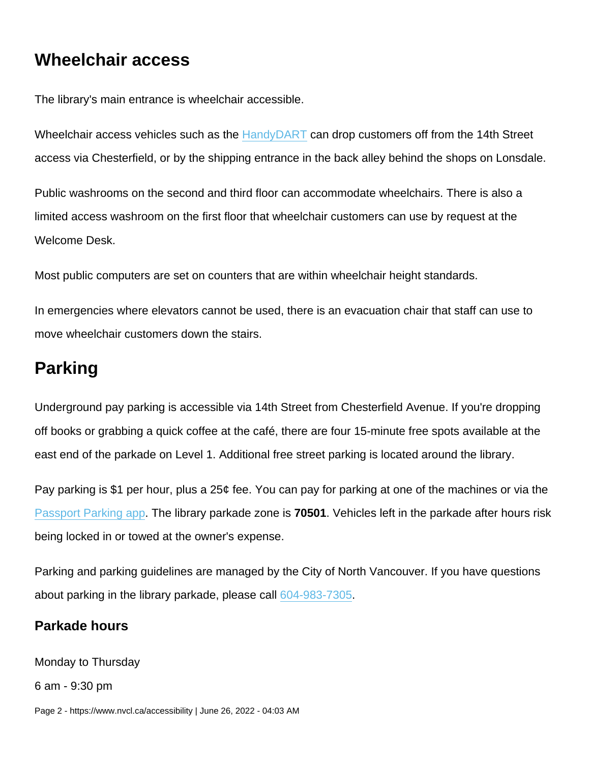### Wheelchair access

The library's main entrance is wheelchair accessible.

Wheelchair access vehicles such as the [HandyDART](https://www.translink.ca/rider-guide/transit-accessibility/handydart) can drop customers off from the 14th Street access via Chesterfield, or by the shipping entrance in the back alley behind the shops on Lonsdale.

Public washrooms on the second and third floor can accommodate wheelchairs. There is also a limited access washroom on the first floor that wheelchair customers can use by request at the Welcome Desk.

Most public computers are set on counters that are within wheelchair height standards.

In emergencies where elevators cannot be used, there is an evacuation chair that staff can use to move wheelchair customers down the stairs.

### Parking

Underground pay parking is accessible via 14th Street from Chesterfield Avenue. If you're dropping off books or grabbing a quick coffee at the café, there are four 15-minute free spots available at the east end of the parkade on Level 1. Additional free street parking is located around the library.

Pay parking is \$1 per hour, plus a 25¢ fee. You can pay for parking at one of the machines or via the [Passport Parking app.](https://www.passportparking.com/) The library parkade zone is 70501. Vehicles left in the parkade after hours risk being locked in or towed at the owner's expense.

Parking and parking guidelines are managed by the City of North Vancouver. If you have questions about parking in the library parkade, please call [604-983-7305](tel:604-983-7305).

#### Parkade hours

Monday to Thursday

6 am - 9:30 pm

Page 2 - https://www.nvcl.ca/accessibility | June 26, 2022 - 04:03 AM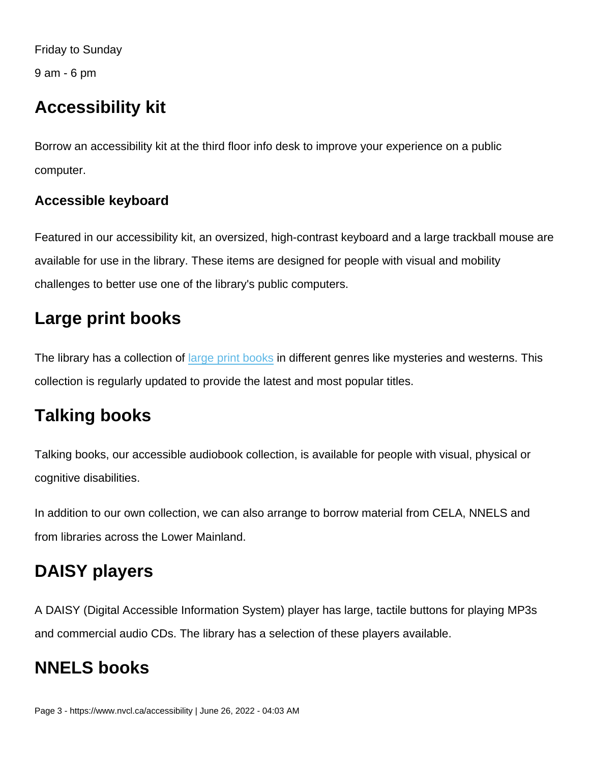Friday to Sunday

9 am - 6 pm

### Accessibility kit

Borrow an accessibility kit at the third floor info desk to improve your experience on a public computer.

#### Accessible keyboard

Featured in our accessibility kit, an oversized, high-contrast keyboard and a large trackball mouse are available for use in the library. These items are designed for people with visual and mobility challenges to better use one of the library's public computers.

# Large print books

The library has a collection of [large print books](https://nvc.ent.sirsidynix.net/client/en_US/nvcl/search/results?te=&lm=LARGEPRINT) in different genres like mysteries and westerns. This collection is regularly updated to provide the latest and most popular titles.

# Talking books

Talking books, our accessible audiobook collection, is available for people with visual, physical or cognitive disabilities.

In addition to our own collection, we can also arrange to borrow material from CELA, NNELS and from libraries across the Lower Mainland.

# DAISY players

A DAISY (Digital Accessible Information System) player has large, tactile buttons for playing MP3s and commercial audio CDs. The library has a selection of these players available.

# NNELS books